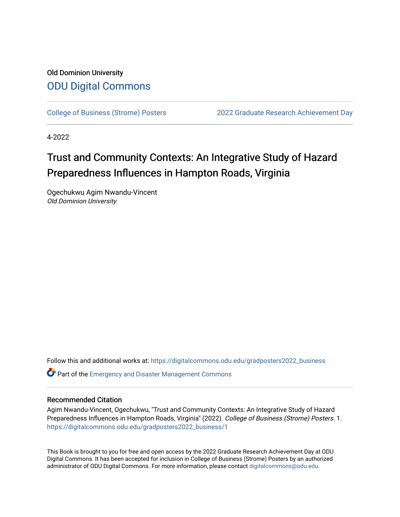#### Old Dominion University [ODU Digital Commons](https://digitalcommons.odu.edu/)

[College of Business \(Strome\) Posters](https://digitalcommons.odu.edu/gradposters2022_business) [2022 Graduate Research Achievement Day](https://digitalcommons.odu.edu/graduateschool_achievementday2022) 

4-2022

#### Trust and Community Contexts: An Integrative Study of Hazard Preparedness Influences in Hampton Roads, Virginia

Ogechukwu Agim Nwandu-Vincent Old Dominion University

Follow this and additional works at: [https://digitalcommons.odu.edu/gradposters2022\\_business](https://digitalcommons.odu.edu/gradposters2022_business?utm_source=digitalcommons.odu.edu%2Fgradposters2022_business%2F1&utm_medium=PDF&utm_campaign=PDFCoverPages)

**C** Part of the Emergency and Disaster Management Commons

#### Recommended Citation

Agim Nwandu-Vincent, Ogechukwu, "Trust and Community Contexts: An Integrative Study of Hazard Preparedness Influences in Hampton Roads, Virginia" (2022). College of Business (Strome) Posters. 1. [https://digitalcommons.odu.edu/gradposters2022\\_business/1](https://digitalcommons.odu.edu/gradposters2022_business/1?utm_source=digitalcommons.odu.edu%2Fgradposters2022_business%2F1&utm_medium=PDF&utm_campaign=PDFCoverPages)

This Book is brought to you for free and open access by the 2022 Graduate Research Achievement Day at ODU Digital Commons. It has been accepted for inclusion in College of Business (Strome) Posters by an authorized administrator of ODU Digital Commons. For more information, please contact [digitalcommons@odu.edu](mailto:digitalcommons@odu.edu).